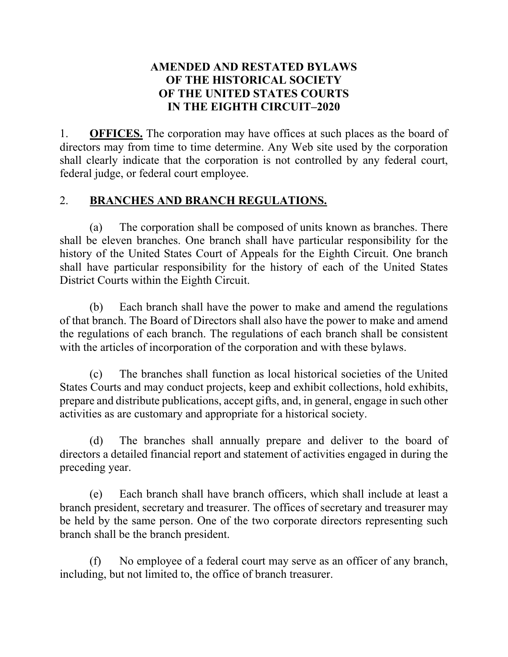### **AMENDED AND RESTATED BYLAWS OF THE HISTORICAL SOCIETY OF THE UNITED STATES COURTS IN THE EIGHTH CIRCUIT–2020**

1. **OFFICES.** The corporation may have offices at such places as the board of directors may from time to time determine. Any Web site used by the corporation shall clearly indicate that the corporation is not controlled by any federal court, federal judge, or federal court employee.

# 2. **BRANCHES AND BRANCH REGULATIONS.**

(a) The corporation shall be composed of units known as branches. There shall be eleven branches. One branch shall have particular responsibility for the history of the United States Court of Appeals for the Eighth Circuit. One branch shall have particular responsibility for the history of each of the United States District Courts within the Eighth Circuit.

(b) Each branch shall have the power to make and amend the regulations of that branch. The Board of Directors shall also have the power to make and amend the regulations of each branch. The regulations of each branch shall be consistent with the articles of incorporation of the corporation and with these bylaws.

(c) The branches shall function as local historical societies of the United States Courts and may conduct projects, keep and exhibit collections, hold exhibits, prepare and distribute publications, accept gifts, and, in general, engage in such other activities as are customary and appropriate for a historical society.

(d) The branches shall annually prepare and deliver to the board of directors a detailed financial report and statement of activities engaged in during the preceding year.

(e) Each branch shall have branch officers, which shall include at least a branch president, secretary and treasurer. The offices of secretary and treasurer may be held by the same person. One of the two corporate directors representing such branch shall be the branch president.

(f) No employee of a federal court may serve as an officer of any branch, including, but not limited to, the office of branch treasurer.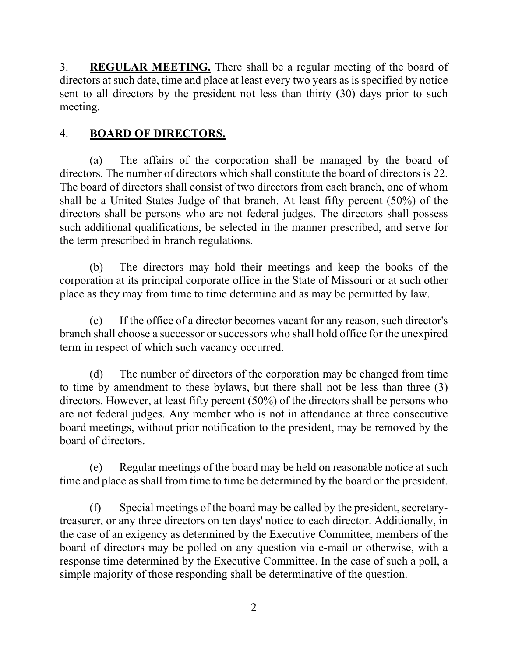3. **REGULAR MEETING.** There shall be a regular meeting of the board of directors at such date, time and place at least every two years as is specified by notice sent to all directors by the president not less than thirty (30) days prior to such meeting.

## 4. **BOARD OF DIRECTORS.**

(a) The affairs of the corporation shall be managed by the board of directors. The number of directors which shall constitute the board of directors is 22. The board of directors shall consist of two directors from each branch, one of whom shall be a United States Judge of that branch. At least fifty percent (50%) of the directors shall be persons who are not federal judges. The directors shall possess such additional qualifications, be selected in the manner prescribed, and serve for the term prescribed in branch regulations.

(b) The directors may hold their meetings and keep the books of the corporation at its principal corporate office in the State of Missouri or at such other place as they may from time to time determine and as may be permitted by law.

(c) If the office of a director becomes vacant for any reason, such director's branch shall choose a successor or successors who shall hold office for the unexpired term in respect of which such vacancy occurred.

(d) The number of directors of the corporation may be changed from time to time by amendment to these bylaws, but there shall not be less than three (3) directors. However, at least fifty percent (50%) of the directors shall be persons who are not federal judges. Any member who is not in attendance at three consecutive board meetings, without prior notification to the president, may be removed by the board of directors.

(e) Regular meetings of the board may be held on reasonable notice at such time and place as shall from time to time be determined by the board or the president.

(f) Special meetings of the board may be called by the president, secretarytreasurer, or any three directors on ten days' notice to each director. Additionally, in the case of an exigency as determined by the Executive Committee, members of the board of directors may be polled on any question via e-mail or otherwise, with a response time determined by the Executive Committee. In the case of such a poll, a simple majority of those responding shall be determinative of the question.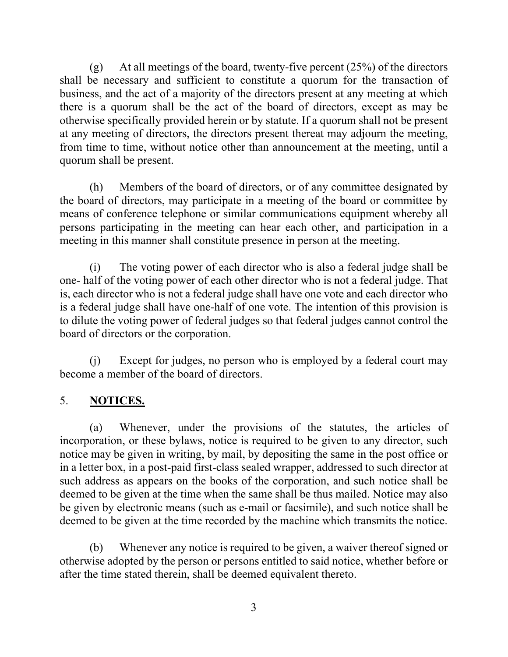(g) At all meetings of the board, twenty-five percent  $(25%)$  of the directors shall be necessary and sufficient to constitute a quorum for the transaction of business, and the act of a majority of the directors present at any meeting at which there is a quorum shall be the act of the board of directors, except as may be otherwise specifically provided herein or by statute. If a quorum shall not be present at any meeting of directors, the directors present thereat may adjourn the meeting, from time to time, without notice other than announcement at the meeting, until a quorum shall be present.

(h) Members of the board of directors, or of any committee designated by the board of directors, may participate in a meeting of the board or committee by means of conference telephone or similar communications equipment whereby all persons participating in the meeting can hear each other, and participation in a meeting in this manner shall constitute presence in person at the meeting.

(i) The voting power of each director who is also a federal judge shall be one- half of the voting power of each other director who is not a federal judge. That is, each director who is not a federal judge shall have one vote and each director who is a federal judge shall have one-half of one vote. The intention of this provision is to dilute the voting power of federal judges so that federal judges cannot control the board of directors or the corporation.

(j) Except for judges, no person who is employed by a federal court may become a member of the board of directors.

# 5. **NOTICES.**

(a) Whenever, under the provisions of the statutes, the articles of incorporation, or these bylaws, notice is required to be given to any director, such notice may be given in writing, by mail, by depositing the same in the post office or in a letter box, in a post-paid first-class sealed wrapper, addressed to such director at such address as appears on the books of the corporation, and such notice shall be deemed to be given at the time when the same shall be thus mailed. Notice may also be given by electronic means (such as e-mail or facsimile), and such notice shall be deemed to be given at the time recorded by the machine which transmits the notice.

(b) Whenever any notice is required to be given, a waiver thereof signed or otherwise adopted by the person or persons entitled to said notice, whether before or after the time stated therein, shall be deemed equivalent thereto.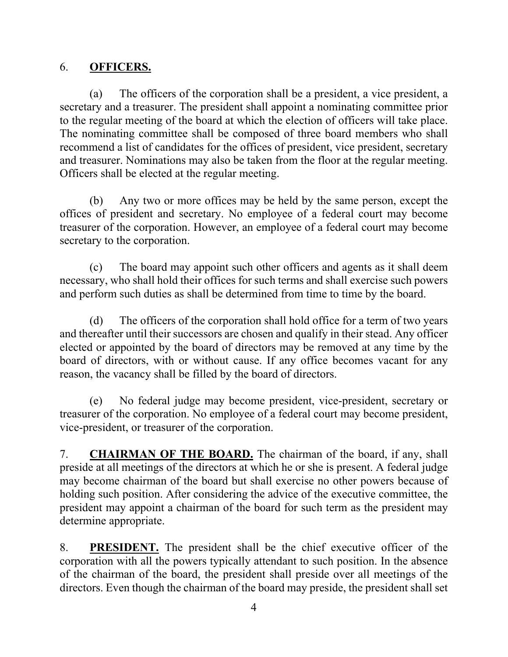#### 6. **OFFICERS.**

(a) The officers of the corporation shall be a president, a vice president, a secretary and a treasurer. The president shall appoint a nominating committee prior to the regular meeting of the board at which the election of officers will take place. The nominating committee shall be composed of three board members who shall recommend a list of candidates for the offices of president, vice president, secretary and treasurer. Nominations may also be taken from the floor at the regular meeting. Officers shall be elected at the regular meeting.

(b) Any two or more offices may be held by the same person, except the offices of president and secretary. No employee of a federal court may become treasurer of the corporation. However, an employee of a federal court may become secretary to the corporation.

(c) The board may appoint such other officers and agents as it shall deem necessary, who shall hold their offices for such terms and shall exercise such powers and perform such duties as shall be determined from time to time by the board.

(d) The officers of the corporation shall hold office for a term of two years and thereafter until their successors are chosen and qualify in their stead. Any officer elected or appointed by the board of directors may be removed at any time by the board of directors, with or without cause. If any office becomes vacant for any reason, the vacancy shall be filled by the board of directors.

(e) No federal judge may become president, vice-president, secretary or treasurer of the corporation. No employee of a federal court may become president, vice-president, or treasurer of the corporation.

7. **CHAIRMAN OF THE BOARD.** The chairman of the board, if any, shall preside at all meetings of the directors at which he or she is present. A federal judge may become chairman of the board but shall exercise no other powers because of holding such position. After considering the advice of the executive committee, the president may appoint a chairman of the board for such term as the president may determine appropriate.

8. **PRESIDENT.** The president shall be the chief executive officer of the corporation with all the powers typically attendant to such position. In the absence of the chairman of the board, the president shall preside over all meetings of the directors. Even though the chairman of the board may preside, the president shall set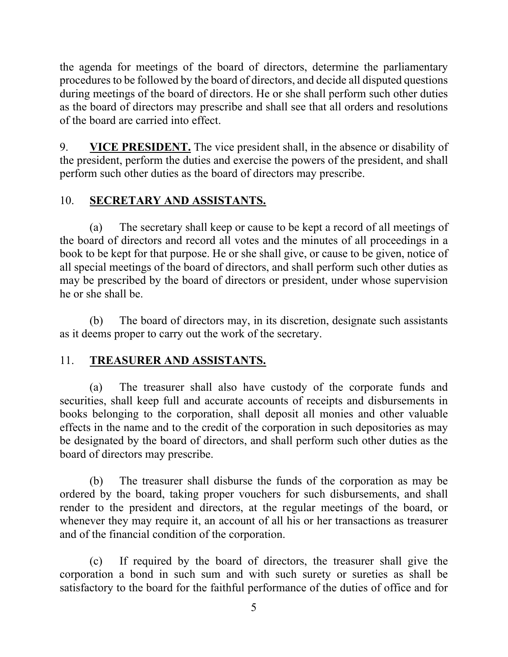the agenda for meetings of the board of directors, determine the parliamentary procedures to be followed by the board of directors, and decide all disputed questions during meetings of the board of directors. He or she shall perform such other duties as the board of directors may prescribe and shall see that all orders and resolutions of the board are carried into effect.

9. **VICE PRESIDENT.** The vice president shall, in the absence or disability of the president, perform the duties and exercise the powers of the president, and shall perform such other duties as the board of directors may prescribe.

## 10. **SECRETARY AND ASSISTANTS.**

(a) The secretary shall keep or cause to be kept a record of all meetings of the board of directors and record all votes and the minutes of all proceedings in a book to be kept for that purpose. He or she shall give, or cause to be given, notice of all special meetings of the board of directors, and shall perform such other duties as may be prescribed by the board of directors or president, under whose supervision he or she shall be.

(b) The board of directors may, in its discretion, designate such assistants as it deems proper to carry out the work of the secretary.

### 11. **TREASURER AND ASSISTANTS.**

(a) The treasurer shall also have custody of the corporate funds and securities, shall keep full and accurate accounts of receipts and disbursements in books belonging to the corporation, shall deposit all monies and other valuable effects in the name and to the credit of the corporation in such depositories as may be designated by the board of directors, and shall perform such other duties as the board of directors may prescribe.

(b) The treasurer shall disburse the funds of the corporation as may be ordered by the board, taking proper vouchers for such disbursements, and shall render to the president and directors, at the regular meetings of the board, or whenever they may require it, an account of all his or her transactions as treasurer and of the financial condition of the corporation.

(c) If required by the board of directors, the treasurer shall give the corporation a bond in such sum and with such surety or sureties as shall be satisfactory to the board for the faithful performance of the duties of office and for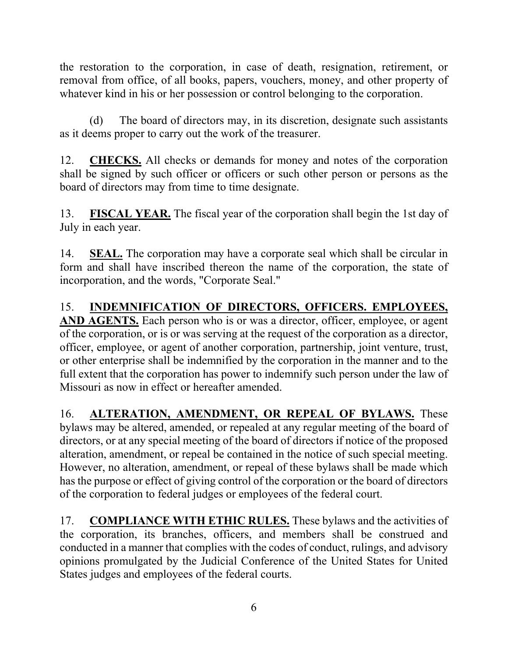the restoration to the corporation, in case of death, resignation, retirement, or removal from office, of all books, papers, vouchers, money, and other property of whatever kind in his or her possession or control belonging to the corporation.

(d) The board of directors may, in its discretion, designate such assistants as it deems proper to carry out the work of the treasurer.

12. **CHECKS.** All checks or demands for money and notes of the corporation shall be signed by such officer or officers or such other person or persons as the board of directors may from time to time designate.

13. **FISCAL YEAR.** The fiscal year of the corporation shall begin the 1st day of July in each year.

14. **SEAL.** The corporation may have a corporate seal which shall be circular in form and shall have inscribed thereon the name of the corporation, the state of incorporation, and the words, "Corporate Seal."

15. **INDEMNIFICATION OF DIRECTORS, OFFICERS. EMPLOYEES, AND AGENTS.** Each person who is or was a director, officer, employee, or agent of the corporation, or is or was serving at the request of the corporation as a director, officer, employee, or agent of another corporation, partnership, joint venture, trust, or other enterprise shall be indemnified by the corporation in the manner and to the full extent that the corporation has power to indemnify such person under the law of Missouri as now in effect or hereafter amended.

16. **ALTERATION, AMENDMENT, OR REPEAL OF BYLAWS.** These bylaws may be altered, amended, or repealed at any regular meeting of the board of directors, or at any special meeting of the board of directors if notice of the proposed alteration, amendment, or repeal be contained in the notice of such special meeting. However, no alteration, amendment, or repeal of these bylaws shall be made which has the purpose or effect of giving control of the corporation or the board of directors of the corporation to federal judges or employees of the federal court.

17. **COMPLIANCE WITH ETHIC RULES.** These bylaws and the activities of the corporation, its branches, officers, and members shall be construed and conducted in a manner that complies with the codes of conduct, rulings, and advisory opinions promulgated by the Judicial Conference of the United States for United States judges and employees of the federal courts.